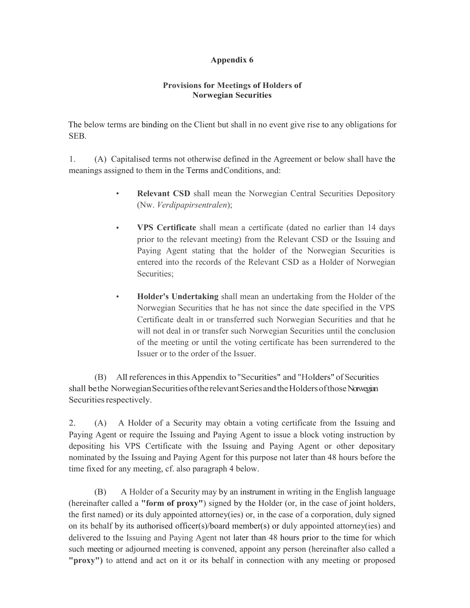## Appendix 6

## Provisions for Meetings of Holders of Norwegian Securities

The below terms are binding on the Client but shall in no event give rise to any obligations for SEB.

1. (A) Capitalised terms not otherwise defined in the Agreement or below shall have the meanings assigned to them in the Terms and Conditions, and:

- $\bullet$ Relevant CSD shall mean the Norwegian Central Securities Depository (Nw. Verdipapirsentralen);
- VPS Certificate shall mean a certificate (dated no earlier than 14 days  $\bullet$ prior to the relevant meeting) from the Relevant CSD or the Issuing and Paying Agent stating that the holder of the Norwegian Securities is entered into the records of the Relevant CSD as a Holder of Norwegian Securities;
- Holder's Undertaking shall mean an undertaking from the Holder of the  $\bullet$ Norwegian Securities that he has not since the date specified in the VPS Certificate dealt in or transferred such Norwegian Securities and that he will not deal in or transfer such Norwegian Securities until the conclusion of the meeting or until the voting certificate has been surrendered to the Issuer or to the order of the Issuer.

 (B) All references in this Appendix to "Securities" and "Holders" of Securities shall be the Norwegian Securities of the relevant Series and the Holders of those Norwegian Securities respectively.

2. (A) A Holder of a Security may obtain a voting certificate from the Issuing and Paying Agent or require the Issuing and Paying Agent to issue a block voting instruction by depositing his VPS Certificate with the Issuing and Paying Agent or other depositary nominated by the Issuing and Paying Agent for this purpose not later than 48 hours before the time fixed for any meeting, cf. also paragraph 4 below.

(B) A Holder of a Security may by an instrument in writing in the English language (hereinafter called a "form of proxy") signed by the Holder (or, in the case of joint holders, the first named) or its duly appointed attorney(ies) or, in the case of a corporation, duly signed on its behalf by its authorised officer(s)/board member(s) or duly appointed attorney(ies) and delivered to the Issuing and Paying Agent not later than 48 hours prior to the time for which such meeting or adjourned meeting is convened, appoint any person (hereinafter also called a "proxy") to attend and act on it or its behalf in connection with any meeting or proposed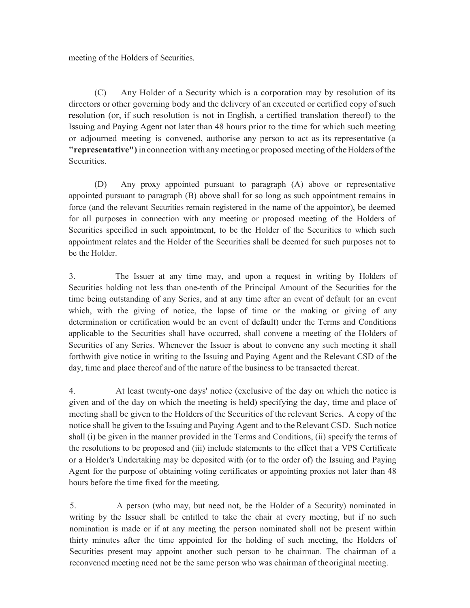meeting of the Holders of Securities.

(C) Any Holder of a Security which is a corporation may by resolution of its directors or other governing body and the delivery of an executed or certified copy of such resolution (or, if such resolution is not in English, a certified translation thereof) to the Issuing and Paying Agent not later than 48 hours prior to the time for which such meeting or adjourned meeting is convened, authorise any person to act as its representative (a "representative") in connection with any meeting or proposed meeting of the Holders of the Securities.

(D) Any proxy appointed pursuant to paragraph (A) above or representative appointed pursuant to paragraph (B) above shall for so long as such appointment remains in force (and the relevant Securities remain registered in the name of the appointor), be deemed for all purposes in connection with any meeting or proposed meeting of the Holders of Securities specified in such appointment, to be the Holder of the Securities to which such appointment relates and the Holder of the Securities shall be deemed for such purposes not to be the Holder.

3. The Issuer at any time may, and upon a request in writing by Holders of Securities holding not less than one-tenth of the Principal Amount of the Securities for the time being outstanding of any Series, and at any time after an event of default (or an event which, with the giving of notice, the lapse of time or the making or giving of any determination or certification would be an event of default) under the Terms and Conditions applicable to the Securities shall have occurred, shall convene a meeting of the Holders of Securities of any Series. Whenever the Issuer is about to convene any such meeting it shall forthwith give notice in writing to the Issuing and Paying Agent and the Relevant CSD of the day, time and place thereof and of the nature of the business to be transacted thereat.

4. At least twenty-one days' notice (exclusive of the day on which the notice is given and of the day on which the meeting is held) specifying the day, time and place of meeting shall be given to the Holders of the Securities of the relevant Series. A copy of the notice shall be given to the Issuing and Paying Agent and to the Relevant CSD. Such notice shall (i) be given in the manner provided in the Terms and Conditions, (ii) specify the terms of the resolutions to be proposed and (iii) include statements to the effect that a VPS Certificate or a Holder's Undertaking may be deposited with (or to the order of) the Issuing and Paying Agent for the purpose of obtaining voting certificates or appointing proxies not later than 48 hours before the time fixed for the meeting.

5. A person (who may, but need not, be the Holder of a Security) nominated in writing by the Issuer shall be entitled to take the chair at every meeting, but if no such nomination is made or if at any meeting the person nominated shall not be present within thirty minutes after the time appointed for the holding of such meeting, the Holders of Securities present may appoint another such person to be chairman. The chairman of a reconvened meeting need not be the same person who was chairman of the original meeting.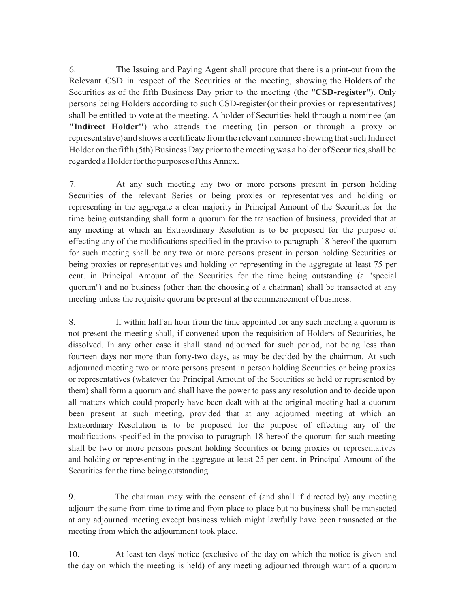6. The Issuing and Paying Agent shall procure that there is a print-out from the Relevant CSD in respect of the Securities at the meeting, showing the Holders of the Securities as of the fifth Business Day prior to the meeting (the "CSD-register"). Only persons being Holders according to such CSD-register (or their proxies or representatives) shall be entitled to vote at the meeting. A holder of Securities held through a nominee (an "Indirect Holder'') who attends the meeting (in person or through a proxy or representative) and shows a certificate from the relevant nominee showing that such Indirect Holder on the fifth (5th) Business Day prior to the meeting was a holder of Securities, shall be regarded a Holder for the purposes of this Annex.

7. At any such meeting any two or more persons present in person holding Securities of the relevant Series or being proxies or representatives and holding or representing in the aggregate a clear majority in Principal Amount of the Securities for the time being outstanding shall form a quorum for the transaction of business, provided that at any meeting at which an Extraordinary Resolution is to be proposed for the purpose of effecting any of the modifications specified in the proviso to paragraph 18 hereof the quorum for such meeting shall be any two or more persons present in person holding Securities or being proxies or representatives and holding or representing in the aggregate at least 75 per cent. in Principal Amount of the Securities for the time being outstanding (a "special quorum'') and no business (other than the choosing of a chairman) shall be transacted at any meeting unless the requisite quorum be present at the commencement of business.

8. If within half an hour from the time appointed for any such meeting a quorum is not present the meeting shall, if convened upon the requisition of Holders of Securities, be dissolved. In any other case it shall stand adjourned for such period, not being less than fourteen days nor more than forty-two days, as may be decided by the chairman. At such adjourned meeting two or more persons present in person holding Securities or being proxies or representatives (whatever the Principal Amount of the Securities so held or represented by them) shall form a quorum and shall have the power to pass any resolution and to decide upon all matters which could properly have been dealt with at the original meeting had a quorum been present at such meeting, provided that at any adjourned meeting at which an Extraordinary Resolution is to be proposed for the purpose of effecting any of the modifications specified in the proviso to paragraph 18 hereof the quorum for such meeting shall be two or more persons present holding Securities or being proxies or representatives and holding or representing in the aggregate at least 25 per cent. in Principal Amount of the Securities for the time being outstanding.

9. The chairman may with the consent of (and shall if directed by) any meeting adjourn the same from time to time and from place to place but no business shall be transacted at any adjourned meeting except business which might lawfully have been transacted at the meeting from which the adjournment took place.

10. At least ten days' notice (exclusive of the day on which the notice is given and the day on which the meeting is held) of any meeting adjourned through want of a quorum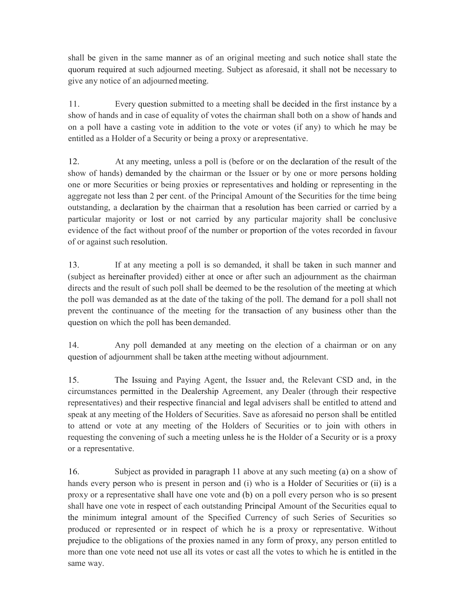shall be given in the same manner as of an original meeting and such notice shall state the quorum required at such adjourned meeting. Subject as aforesaid, it shall not be necessary to give any notice of an adjourned meeting.

11. Every question submitted to a meeting shall be decided in the first instance by a show of hands and in case of equality of votes the chairman shall both on a show of hands and on a poll have a casting vote in addition to the vote or votes (if any) to which he may be entitled as a Holder of a Security or being a proxy or a representative.

12. At any meeting, unless a poll is (before or on the declaration of the result of the show of hands) demanded by the chairman or the Issuer or by one or more persons holding one or more Securities or being proxies or representatives and holding or representing in the aggregate not less than 2 per cent. of the Principal Amount of the Securities for the time being outstanding, a declaration by the chairman that a resolution has been carried or carried by a particular majority or lost or not carried by any particular majority shall be conclusive evidence of the fact without proof of the number or proportion of the votes recorded in favour of or against such resolution.

13. If at any meeting a poll is so demanded, it shall be taken in such manner and (subject as hereinafter provided) either at once or after such an adjournment as the chairman directs and the result of such poll shall be deemed to be the resolution of the meeting at which the poll was demanded as at the date of the taking of the poll. The demand for a poll shall not prevent the continuance of the meeting for the transaction of any business other than the question on which the poll has been demanded.

14. Any poll demanded at any meeting on the election of a chairman or on any question of adjournment shall be taken at the meeting without adjournment.

15. The Issuing and Paying Agent, the Issuer and, the Relevant CSD and, in the circumstances permitted in the Dealership Agreement, any Dealer (through their respective representatives) and their respective financial and legal advisers shall be entitled to attend and speak at any meeting of the Holders of Securities. Save as aforesaid no person shall be entitled to attend or vote at any meeting of the Holders of Securities or to join with others in requesting the convening of such a meeting unless he is the Holder of a Security or is a proxy or a representative.

16. Subject as provided in paragraph 11 above at any such meeting (a) on a show of hands every person who is present in person and (i) who is a Holder of Securities or (ii) is a proxy or a representative shall have one vote and (b) on a poll every person who is so present shall have one vote in respect of each outstanding Principal Amount of the Securities equal to the minimum integral amount of the Specified Currency of such Series of Securities so produced or represented or in respect of which he is a proxy or representative. Without prejudice to the obligations of the proxies named in any form of proxy, any person entitled to more than one vote need not use all its votes or cast all the votes to which he is entitled in the same way.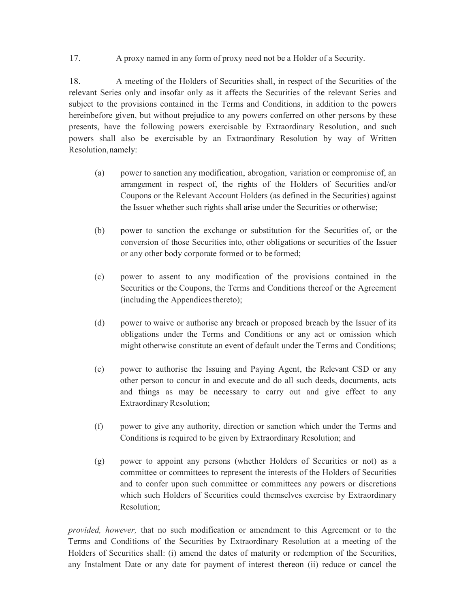17. A proxy named in any form of proxy need not be a Holder of a Security.

18. A meeting of the Holders of Securities shall, in respect of the Securities of the relevant Series only and insofar only as it affects the Securities of the relevant Series and subject to the provisions contained in the Terms and Conditions, in addition to the powers hereinbefore given, but without prejudice to any powers conferred on other persons by these presents, have the following powers exercisable by Extraordinary Resolution, and such powers shall also be exercisable by an Extraordinary Resolution by way of Written Resolution, namely:

- (a) power to sanction any modification, abrogation, variation or compromise of, an arrangement in respect of, the rights of the Holders of Securities and/or Coupons or the Relevant Account Holders (as defined in the Securities) against the Issuer whether such rights shall arise under the Securities or otherwise;
- (b) power to sanction the exchange or substitution for the Securities of, or the conversion of those Securities into, other obligations or securities of the Issuer or any other body corporate formed or to be formed;
- (c) power to assent to any modification of the provisions contained in the Securities or the Coupons, the Terms and Conditions thereof or the Agreement (including the Appendices thereto);
- (d) power to waive or authorise any breach or proposed breach by the Issuer of its obligations under the Terms and Conditions or any act or omission which might otherwise constitute an event of default under the Terms and Conditions;
- (e) power to authorise the Issuing and Paying Agent, the Relevant CSD or any other person to concur in and execute and do all such deeds, documents, acts and things as may be necessary to carry out and give effect to any Extraordinary Resolution;
- (f) power to give any authority, direction or sanction which under the Terms and Conditions is required to be given by Extraordinary Resolution; and
- (g) power to appoint any persons (whether Holders of Securities or not) as a committee or committees to represent the interests of the Holders of Securities and to confer upon such committee or committees any powers or discretions which such Holders of Securities could themselves exercise by Extraordinary Resolution;

provided, however, that no such modification or amendment to this Agreement or to the Terms and Conditions of the Securities by Extraordinary Resolution at a meeting of the Holders of Securities shall: (i) amend the dates of maturity or redemption of the Securities, any Instalment Date or any date for payment of interest thereon (ii) reduce or cancel the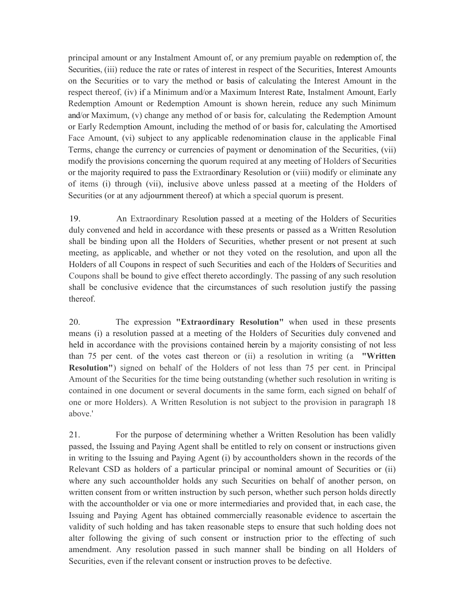principal amount or any Instalment Amount of, or any premium payable on redemption of, the Securities, (iii) reduce the rate or rates of interest in respect of the Securities, Interest Amounts on the Securities or to vary the method or basis of calculating the Interest Amount in the respect thereof, (iv) if a Minimum and/or a Maximum Interest Rate, Instalment Amount, Early Redemption Amount or Redemption Amount is shown herein, reduce any such Minimum and/or Maximum, (v) change any method of or basis for, calculating the Redemption Amount or Early Redemption Amount, including the method of or basis for, calculating the Amortised Face Amount, (vi) subject to any applicable redenomination clause in the applicable Final Terms, change the currency or currencies of payment or denomination of the Securities, (vii) modify the provisions concerning the quorum required at any meeting of Holders of Securities or the majority required to pass the Extraordinary Resolution or (viii) modify or eliminate any of items (i) through (vii), inclusive above unless passed at a meeting of the Holders of Securities (or at any adjournment thereof) at which a special quorum is present.

19. An Extraordinary Resolution passed at a meeting of the Holders of Securities duly convened and held in accordance with these presents or passed as a Written Resolution shall be binding upon all the Holders of Securities, whether present or not present at such meeting, as applicable, and whether or not they voted on the resolution, and upon all the Holders of all Coupons in respect of such Securities and each of the Holders of Securities and Coupons shall be bound to give effect thereto accordingly. The passing of any such resolution shall be conclusive evidence that the circumstances of such resolution justify the passing thereof.

20. The expression "Extraordinary Resolution" when used in these presents means (i) a resolution passed at a meeting of the Holders of Securities duly convened and held in accordance with the provisions contained herein by a majority consisting of not less than 75 per cent. of the votes cast thereon or (ii) a resolution in writing (a "Written Resolution") signed on behalf of the Holders of not less than 75 per cent. in Principal Amount of the Securities for the time being outstanding (whether such resolution in writing is contained in one document or several documents in the same form, each signed on behalf of one or more Holders). A Written Resolution is not subject to the provision in paragraph 18 above.'

21. For the purpose of determining whether a Written Resolution has been validly passed, the Issuing and Paying Agent shall be entitled to rely on consent or instructions given in writing to the Issuing and Paying Agent (i) by accountholders shown in the records of the Relevant CSD as holders of a particular principal or nominal amount of Securities or (ii) where any such accountholder holds any such Securities on behalf of another person, on written consent from or written instruction by such person, whether such person holds directly with the accountholder or via one or more intermediaries and provided that, in each case, the Issuing and Paying Agent has obtained commercially reasonable evidence to ascertain the validity of such holding and has taken reasonable steps to ensure that such holding does not alter following the giving of such consent or instruction prior to the effecting of such amendment. Any resolution passed in such manner shall be binding on all Holders of Securities, even if the relevant consent or instruction proves to be defective.